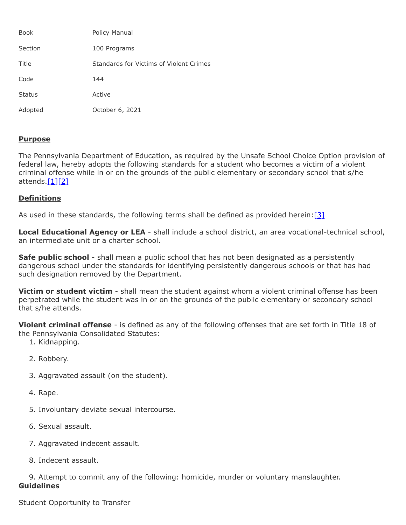| <b>Book</b>   | Policy Manual                           |
|---------------|-----------------------------------------|
| Section       | 100 Programs                            |
| Title         | Standards for Victims of Violent Crimes |
| Code          | 144                                     |
| <b>Status</b> | Active                                  |
| Adopted       | October 6, 2021                         |

# **Purpose**

The Pennsylvania Department of Education, as required by the Unsafe School Choice Option provision of federal law, hereby adopts the following standards for a student who becomes a victim of a violent criminal offense while in or on the grounds of the public elementary or secondary school that s/he attends. $[1][2]$  $[1][2]$ 

# **Definitions**

As used in these standards, the following terms shall be defined as provided herein: $[3]$ 

**Local Educational Agency or LEA** - shall include a school district, an area vocational-technical school, an intermediate unit or a charter school.

**Safe public school** - shall mean a public school that has not been designated as a persistently dangerous school under the standards for identifying persistently dangerous schools or that has had such designation removed by the Department.

**Victim or student victim** - shall mean the student against whom a violent criminal offense has been perpetrated while the student was in or on the grounds of the public elementary or secondary school that s/he attends.

**Violent criminal offense** - is defined as any of the following offenses that are set forth in Title 18 of the Pennsylvania Consolidated Statutes:

- 1. Kidnapping.
- 2. Robbery.
- 3. Aggravated assault (on the student).
- 4. Rape.
- 5. Involuntary deviate sexual intercourse.
- 6. Sexual assault.
- 7. Aggravated indecent assault.
- 8. Indecent assault.

9. Attempt to commit any of the following: homicide, murder or voluntary manslaughter. **Guidelines**

## **Student Opportunity to Transfer**